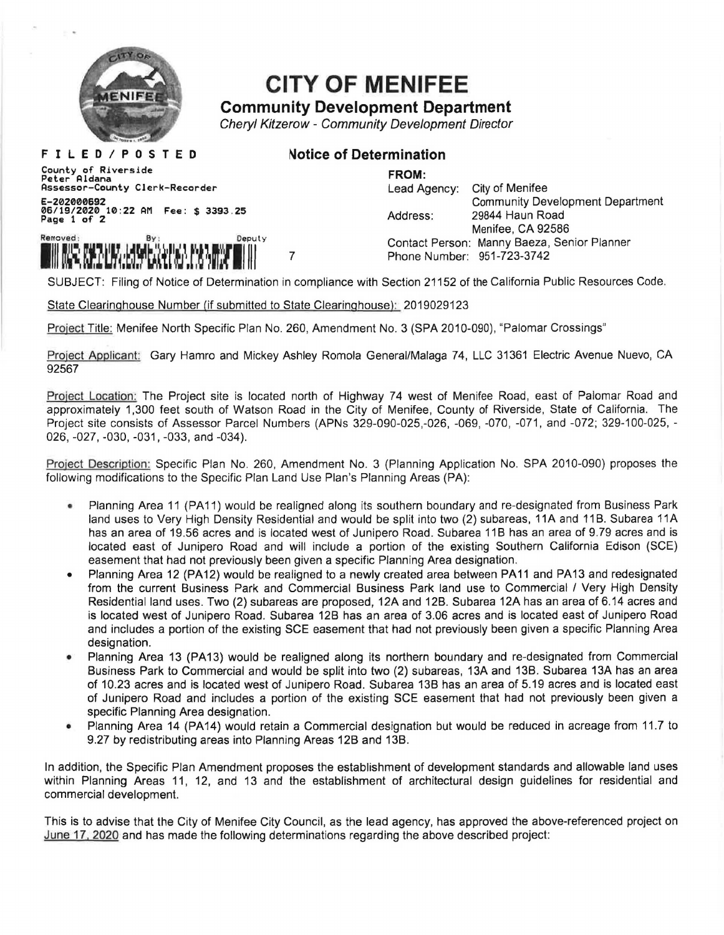

## **CITY OF MENIFEE**

## **Community Development Department**

Cheryl Kitzerow - Community Development Director

**F I L E D I P 0 S T E D**  County of Riverside Peter Aldana Assessor-County Clerk-Recorder E-202000692 06/19/2020 10:22 AM Fee: \$ 3393.25 Page 1 of 2



## ~otice **of Determination**

## **FROM:**

Lead Agency: City of Menifee Community Development Department Address: 29844 Haun Road Menifee, CA 92586 Contact Person: Manny Baeza, Senior Planner Phone Number: 951-723-3742

SUBJECT: Filing of Notice of Determination in compliance with Section 21152 of the California Public Resources Code.

State Clearinghouse Number (if submitted to State Clearinghouse): 2019029123

7

Project Title: Menifee North Specific Plan No. 260, Amendment No. 3 (SPA 2010-090), "Palomar Crossings"

Project Applicant: Gary Hamro and Mickey Ashley Romola General/Malaga 74, LLC 31361 Electric Avenue Nuevo, CA 92567

Project Location: The Project site is located north of Highway 74 west of Menifee Road, east of Palomar Road and approximately 1,300 feet south of Watson Road in the City of Menifee, County of Riverside, State of California. The Project site consists of Assessor Parcel Numbers (APNs 329-090-025,-026, -069, -070, -071, and -072; 329-100-025, - 026, -027, -030, -031, -033, and -034).

Proiect Description: Specific Plan No. 260, Amendment No. 3 (Planning Application No. SPA 2010-090) proposes the following modifications to the Specific Plan Land Use Plan's Planning Areas (PA):

- Planning Area 11 (PA 11) would be realigned along its southern boundary and re-designated from Business Park land uses to Very High Density Residential and would be split into two (2) subareas, 11A and 11B. Subarea 11A has an area of 19.56 acres and is located west of Junipero Road. Subarea 11B has an area of 9.79 acres and is located east of Junipero Road and will include a portion of the existing Southern California Edison (SCE) easement that had not previously been given a specific Planning Area designation.
- Planning Area 12 (PA12) would be realigned to a newly created area between PA11 and PA13 and redesignated from the current Business Park and Commercial Business Park land use to Commercial / Very High Density Residential land uses. Two (2) subareas are proposed, 12A and 12B. Subarea 12A has an area of 6.14 acres and is located west of Junipero Road. Subarea 128 has an area of 3.06 acres and is located east of Junipero Road and includes a portion of the existing SCE easement that had not previously been given a specific Planning Area designation.
- Planning Area 13 (PA13) would be realigned along its northern boundary and re-designated from Commercial Business Park to Commercial and would be split into two (2) subareas, 13A and 13B. Subarea 13A has an area of 10.23 acres and is located west of Junipero Road . Subarea 138 has an area of 5.19 acres and is located east of Junipero Road and includes a portion of the existing SCE easement that had not previously been given a specific Planning Area designation.
- Planning Area 14 (PA14) would retain a Commercial designation but would be reduced in acreage from 11.7 to 9.27 by redistributing areas into Planning Areas 12B and 13B.

In addition, the Specific Plan Amendment proposes the establishment of development standards and allowable land uses within Planning Areas 11, 12, and 13 and the establishment of architectural design guidelines for residential and commercial development.

This is to advise that the City of Menifee City Council, as the lead agency, has approved the above-referenced project on June 17. 2020 and has made the following determinations regarding the above described project: